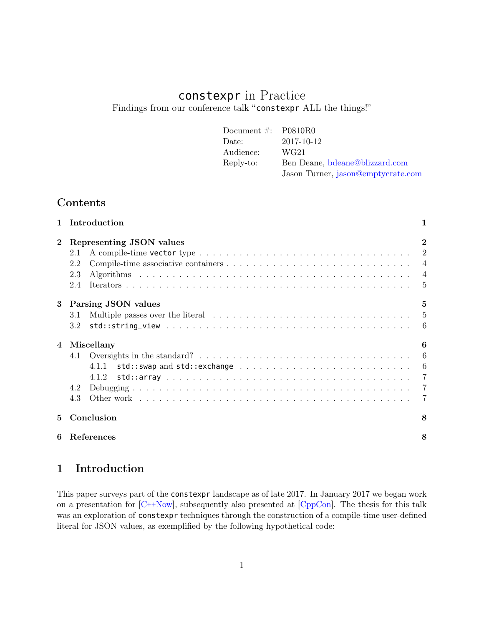# constexpr in Practice Findings from our conference talk "constexpr ALL the things!"

| Document $\#$ : P0810R0 |                                    |
|-------------------------|------------------------------------|
| Date:                   | 2017-10-12                         |
| Audience:               | WG21                               |
| Reply-to:               | Ben Deane, bdeane@blizzard.com     |
|                         | Jason Turner, jason@emptycrate.com |

# Contents

|          | Introduction                                                                                                                                                    |                                                                                 |
|----------|-----------------------------------------------------------------------------------------------------------------------------------------------------------------|---------------------------------------------------------------------------------|
| $\bf{2}$ | Representing JSON values<br>2.1<br>2.2<br>2.3<br>2.4                                                                                                            | $\bf{2}$<br>$\overline{2}$<br>$\overline{4}$<br>$\overline{4}$<br>$\frac{5}{2}$ |
| 3        | Parsing JSON values<br>Multiple passes over the literal $\dots \dots \dots \dots \dots \dots \dots \dots \dots \dots \dots \dots \dots$<br>3.1<br>3.2           | 5<br>$\overline{5}$<br>-6                                                       |
| 4        | Miscellany<br>Oversights in the standard? $\ldots \ldots \ldots \ldots \ldots \ldots \ldots \ldots \ldots \ldots \ldots$<br>4.1<br>4.1.1<br>4.1.2<br>4.2<br>4.3 | 6<br>6<br>-6<br>$\overline{7}$<br>7                                             |
| 5.       | Conclusion                                                                                                                                                      | 8                                                                               |
| 6        | References                                                                                                                                                      | 8                                                                               |

# <span id="page-0-0"></span>1 Introduction

This paper surveys part of the constexpr landscape as of late 2017. In January 2017 we began work on a presentation for  $\left[{\rm C}++{\rm Now}\right]$ , subsequently also presented at  $\left[{\rm CppCon}\right]$ . The thesis for this talk was an exploration of constexpr techniques through the construction of a compile-time user-defined literal for JSON values, as exemplified by the following hypothetical code: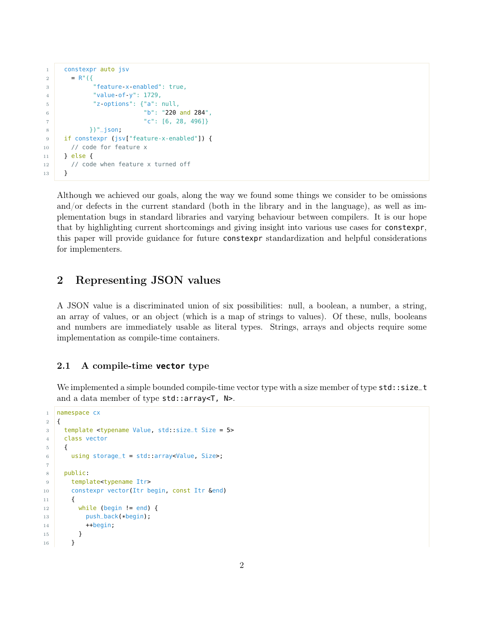```
1 constexpr auto jsv
2 = R'' ({
3 "feature-x-enabled": true,
4 "value-of-y": 1729,
5 "z-options": {"a": null,
6 "b": "220 and 284",
7 "c": [6, 28, 496]}
8 })"_json;
9 if constexpr (jsv["feature-x-enabled"]) {
10 // code for feature x
11 } else {
12 // code when feature x turned off
13 }
```
Although we achieved our goals, along the way we found some things we consider to be omissions and/or defects in the current standard (both in the library and in the language), as well as implementation bugs in standard libraries and varying behaviour between compilers. It is our hope that by highlighting current shortcomings and giving insight into various use cases for constexpr, this paper will provide guidance for future constexpr standardization and helpful considerations for implementers.

# <span id="page-1-0"></span>2 Representing JSON values

A JSON value is a discriminated union of six possibilities: null, a boolean, a number, a string, an array of values, or an object (which is a map of strings to values). Of these, nulls, booleans and numbers are immediately usable as literal types. Strings, arrays and objects require some implementation as compile-time containers.

#### <span id="page-1-1"></span>2.1 A compile-time **vector** type

We implemented a simple bounded compile-time vector type with a size member of type std::size\_t and a data member of type std::array<T, N>.

```
1 namespace cx
2 \mid \{3 template <typename Value, std::size_t Size = 5>
4 class vector
5 {
6 using storage_t = std::array<Value, Size>;
7
8 public:
9 template<typename Itr>
10 constexpr vector(Itr begin, const Itr &end)
11 {
12 while (begin != end) {
13 push_back(*begin);
14 ++begin;
15 }
16 }
```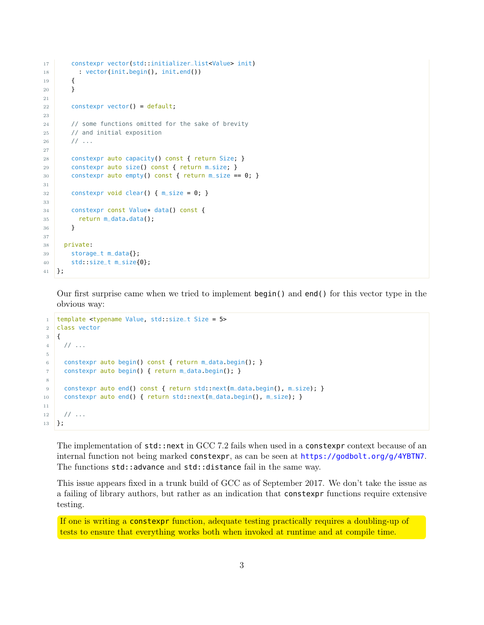```
17 constexpr vector(std::initializer_list<Value> init)
18 : vector(init.begin(), init.end())
19 {
20 }
21
22 constexpr vector() = default;
23
24 // some functions omitted for the sake of brevity
25 // and initial exposition
26 // ...
27
28 constexpr auto capacity() const { return Size; }
29 constexpr auto size() const { return m_size; }
30 constexpr auto empty() const { return m_size == 0; }
31
32 constexpr void clear() { m\_size = 0; }
33
34 constexpr const Value* data() const {
35 return m_data.data();
36 }
37
38 private:
39 storage_t m_data{};
40 std::size_t m_size{0};
41 };
```
Our first surprise came when we tried to implement begin() and end() for this vector type in the obvious way:

```
1 template <typename Value, std::size_t Size = 5>
2 class vector
3 \mid \{4 / / ...5
6 constexpr auto begin() const { return m_data.begin(); }
7 constexpr auto begin() { return m_data.begin(); }
8
9 constexpr auto end() const { return std::next(m_data.begin(), m_size); }
10 constexpr auto end() { return std::next(m_data.begin(), m_size); }
11
12 // ...
13 };
```
The implementation of std::next in GCC 7.2 fails when used in a constexpr context because of an internal function not being marked constexpr, as can be seen at <https://godbolt.org/g/4YBTN7>. The functions std::advance and std::distance fail in the same way.

This issue appears fixed in a trunk build of GCC as of September 2017. We don't take the issue as a failing of library authors, but rather as an indication that constexpr functions require extensive testing.

If one is writing a constexpr function, adequate testing practically requires a doubling-up of tests to ensure that everything works both when invoked at runtime and at compile time.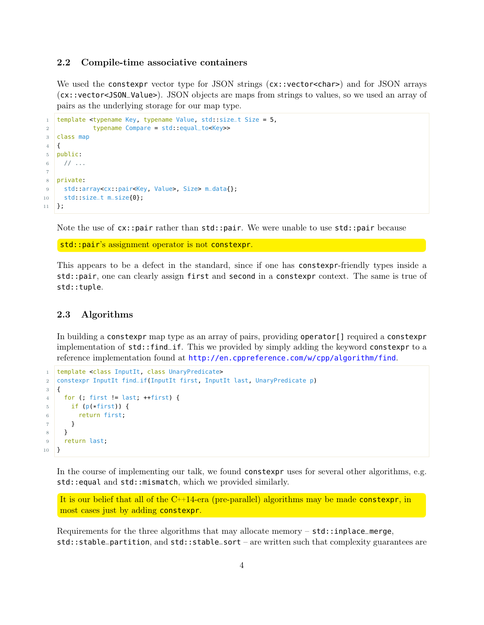### <span id="page-3-0"></span>2.2 Compile-time associative containers

We used the constexpr vector type for JSON strings ( $cx$ ::vector<char>) and for JSON arrays (cx::vector<JSON\_Value>). JSON objects are maps from strings to values, so we used an array of pairs as the underlying storage for our map type.

```
1 template <typename Key, typename Value, std::size_t Size = 5,
2 typename Compare = std::equal_to<Key>>
3 class map
4 \mid \mathbf{6}5 public:
6 // \ldots7
8 private:
9 std::array<cx::pair<Key, Value>, Size> m_data{};
10 std::size_t m_size{0};
11 };
```
Note the use of cx::pair rather than std::pair. We were unable to use std::pair because

std::pair's assignment operator is not constexpr.

This appears to be a defect in the standard, since if one has constexpr-friendly types inside a std::pair, one can clearly assign first and second in a constexpr context. The same is true of std::tuple.

#### <span id="page-3-1"></span>2.3 Algorithms

In building a constexpr map type as an array of pairs, providing operator[] required a constexpr implementation of std::find\_if. This we provided by simply adding the keyword constexpr to a reference implementation found at <http://en.cppreference.com/w/cpp/algorithm/find>.

```
1 template <class InputIt, class UnaryPredicate>
2 constexpr InputIt find_if(InputIt first, InputIt last, UnaryPredicate p)
3 \mid \{4 for (; first != last; ++first) {
5 if (p(*first)) {
6 return first;
7 }
8 }
9 return last;
10 }
```
In the course of implementing our talk, we found constexpr uses for several other algorithms, e.g. std:: equal and std:: mismatch, which we provided similarly.

It is our belief that all of the  $C^{++}14$ -era (pre-parallel) algorithms may be made constexpr, in most cases just by adding constexpr.

Requirements for the three algorithms that may allocate memory  $-$  std::inplace\_merge, std::stable\_partition, and std::stable\_sort – are written such that complexity guarantees are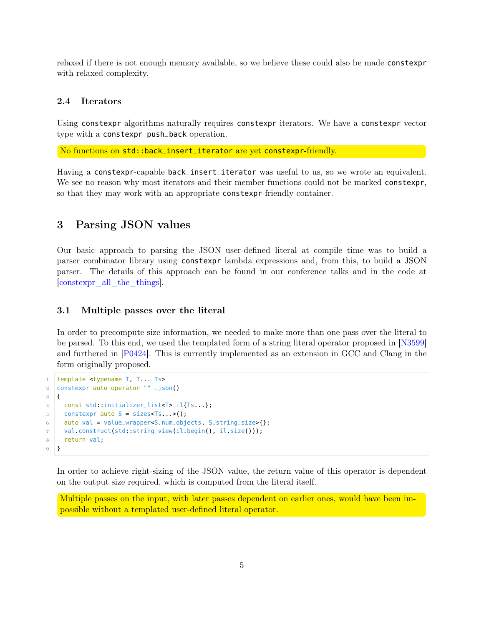relaxed if there is not enough memory available, so we believe these could also be made constexpr with relaxed complexity.

#### <span id="page-4-0"></span>2.4 Iterators

Using constexpr algorithms naturally requires constexpr iterators. We have a constexpr vector type with a constexpr push\_back operation.

No functions on std::back\_insert\_iterator are yet constexpr-friendly.

Having a constexpr-capable back\_insert\_iterator was useful to us, so we wrote an equivalent. We see no reason why most iterators and their member functions could not be marked constexpr, so that they may work with an appropriate constexpr-friendly container.

## <span id="page-4-1"></span>3 Parsing JSON values

Our basic approach to parsing the JSON user-defined literal at compile time was to build a parser combinator library using constexpr lambda expressions and, from this, to build a JSON parser. The details of this approach can be found in our conference talks and in the code at [\[constexpr\\_all\\_the\\_things\]](#page-7-4).

#### <span id="page-4-2"></span>3.1 Multiple passes over the literal

In order to precompute size information, we needed to make more than one pass over the literal to be parsed. To this end, we used the templated form of a string literal operator proposed in [\[N3599\]](#page-7-5) and furthered in [\[P0424\]](#page-7-6). This is currently implemented as an extension in GCC and Clang in the form originally proposed.

```
1 template <typename T, T... Ts>
2 constexpr auto operator "" _json()
3 \mid \{4 const std::initializer_list<T> il{Ts...};
5 constexpr auto S = sizes<Ts...>();
6 auto val = value_wrapper<S.num_objects, S.string_size>{};
7 val.construct(std::string_view(il.begin(), il.size()));
8 return val;
9 }
```
In order to achieve right-sizing of the JSON value, the return value of this operator is dependent on the output size required, which is computed from the literal itself.

Multiple passes on the input, with later passes dependent on earlier ones, would have been impossible without a templated user-defined literal operator.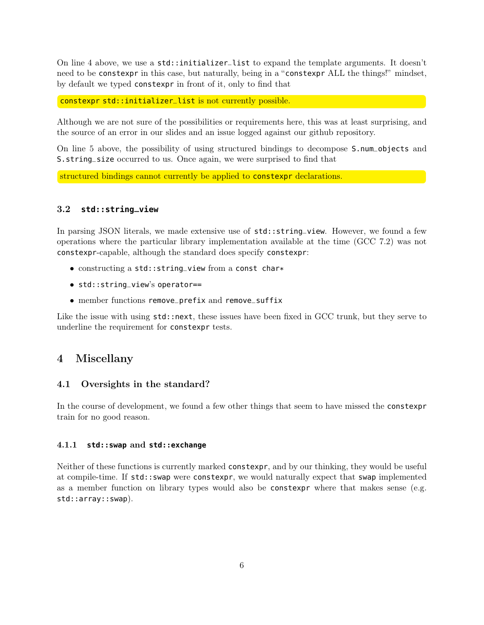On line 4 above, we use a std::initializer\_list to expand the template arguments. It doesn't need to be constexpr in this case, but naturally, being in a "constexpr ALL the things!" mindset, by default we typed constexpr in front of it, only to find that

constexpr std::initializer\_list is not currently possible.

Although we are not sure of the possibilities or requirements here, this was at least surprising, and the source of an error in our slides and an issue logged against our github repository.

On line 5 above, the possibility of using structured bindings to decompose S.num\_objects and S.string\_size occurred to us. Once again, we were surprised to find that

structured bindings cannot currently be applied to constexpr declarations.

## <span id="page-5-0"></span>3.2 **std::string\_view**

In parsing JSON literals, we made extensive use of  $std::string\_view$ . However, we found a few operations where the particular library implementation available at the time (GCC 7.2) was not constexpr-capable, although the standard does specify constexpr:

- constructing a std::string\_view from a const char\*
- std::string\_view's operator==
- member functions remove\_prefix and remove\_suffix

Like the issue with using  $std::next$ , these issues have been fixed in GCC trunk, but they serve to underline the requirement for constexpr tests.

## <span id="page-5-1"></span>4 Miscellany

#### <span id="page-5-2"></span>4.1 Oversights in the standard?

In the course of development, we found a few other things that seem to have missed the constexpr train for no good reason.

#### <span id="page-5-3"></span>4.1.1 **std::swap** and **std::exchange**

Neither of these functions is currently marked constexpr, and by our thinking, they would be useful at compile-time. If std::swap were constexpr, we would naturally expect that swap implemented as a member function on library types would also be constexpr where that makes sense (e.g. std::array::swap).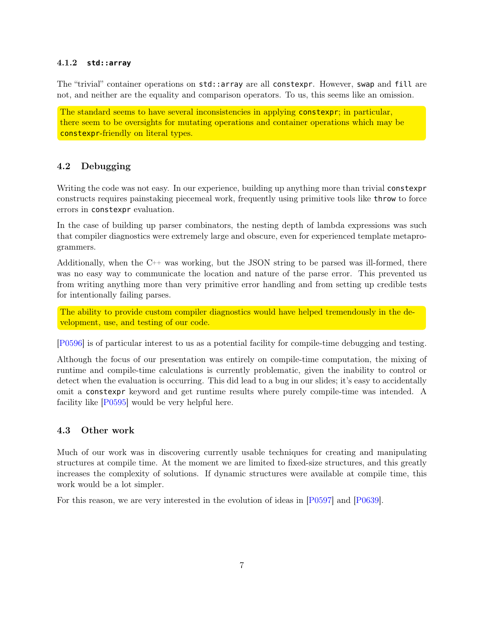### <span id="page-6-0"></span>4.1.2 **std::array**

The "trivial" container operations on std::array are all constexpr. However, swap and fill are not, and neither are the equality and comparison operators. To us, this seems like an omission.

The standard seems to have several inconsistencies in applying constexpr; in particular, there seem to be oversights for mutating operations and container operations which may be constexpr-friendly on literal types.

### <span id="page-6-1"></span>4.2 Debugging

Writing the code was not easy. In our experience, building up anything more than trivial constexpr constructs requires painstaking piecemeal work, frequently using primitive tools like throw to force errors in constexpr evaluation.

In the case of building up parser combinators, the nesting depth of lambda expressions was such that compiler diagnostics were extremely large and obscure, even for experienced template metaprogrammers.

Additionally, when the C++ was working, but the JSON string to be parsed was ill-formed, there was no easy way to communicate the location and nature of the parse error. This prevented us from writing anything more than very primitive error handling and from setting up credible tests for intentionally failing parses.

The ability to provide custom compiler diagnostics would have helped tremendously in the development, use, and testing of our code.

[\[P0596\]](#page-7-7) is of particular interest to us as a potential facility for compile-time debugging and testing.

Although the focus of our presentation was entirely on compile-time computation, the mixing of runtime and compile-time calculations is currently problematic, given the inability to control or detect when the evaluation is occurring. This did lead to a bug in our slides; it's easy to accidentally omit a constexpr keyword and get runtime results where purely compile-time was intended. A facility like [\[P0595\]](#page-7-8) would be very helpful here.

### <span id="page-6-2"></span>4.3 Other work

Much of our work was in discovering currently usable techniques for creating and manipulating structures at compile time. At the moment we are limited to fixed-size structures, and this greatly increases the complexity of solutions. If dynamic structures were available at compile time, this work would be a lot simpler.

For this reason, we are very interested in the evolution of ideas in [\[P0597\]](#page-7-9) and [\[P0639\]](#page-7-10).